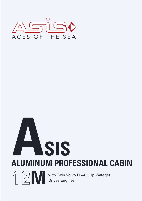

# **ASIS ALUMINUM PROFESSIONAL CABIN**



With Twin Volvo D6-435Hp Waterjet<br>Drives Engines Drives Engines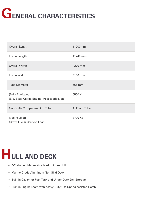

| <b>Overall Length</b>                                            | 11900mm      |
|------------------------------------------------------------------|--------------|
| Inside Length                                                    | 11240 mm     |
| <b>Overall Width</b>                                             | 4270 mm      |
| <b>Inside Width</b>                                              | 3100 mm      |
| <b>Tube Diameter</b>                                             | 565 mm       |
| (Fully Equipped)<br>(E.g. Boat, Cabin, Engine, Accessories, etc) | 6500 Kg      |
| No. Of Air Compartment in Tube                                   | 1: Foam Tube |
| Max Payload<br>(Crew, Fuel & Carryon Load)                       | 3720 Kg      |
|                                                                  |              |

### **HULL AND DECK**

- "V" shaped Marine Grade Aluminum Hull
- Marine Grade Aluminum Non Skid Deck
- Built-in Cavity for Fuel Tank and Under Deck Dry Storage
- $\Diamond$  Built-in Engine room with heavy Duty Gas Spring assisted Hatch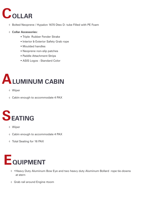### COLLAR

- $\Diamond$  Bolted Neoprene / Hypalon 1670 Dtex D- tube Filled with PE Foam
- **Collar Accessories:** 
	- Triple Rubber Fender Strake
	- Interior & Exterior Safety Grab rope
	- Moulded handles
	- Neoprene non-slip patches
	- Paddle Attachment Strips
	- ASIS Logos Standard Color



- Wiper
- Cabin enough to accommodate 4 PAX



- Wiper
- Cabin enough to accommodate 4 PAX
- Total Seating for 16 PAX



- •Heavy Duty Aluminum Bow Eye and two heavy duty Aluminum Bollard rope tie-downs at stern
- Grab rail around Engine rtoom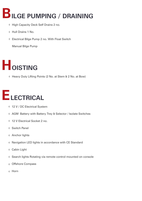### **BILGE PUMPING / DRAINING**

- ♦ High Capacity Deck Self Drains 2 no.
- Hull Drains 1 No.
- Electrical Bilge Pump 2 no. With Float Switch

Manual Bilge Pump

## **HOISTING**

Heavy Duty Lifting Points (2 No. at Stem & 2 No. at Bow)

#### **ELECTRICAL**

- 12 V / DC Electrical System
- AGM Battery with Battery Trey & Selector / Isolate Switches
- 12 V Electrical Socket 2 no.
- Switch Panel
- Anchor lights
- $\Diamond$  Navigation LED lights in accordance with CE Standard
- Cabin Light  $\Diamond$
- $\Diamond$  Search lights Rotating via remote control mounted on console
- Offshore Compass
- Horn